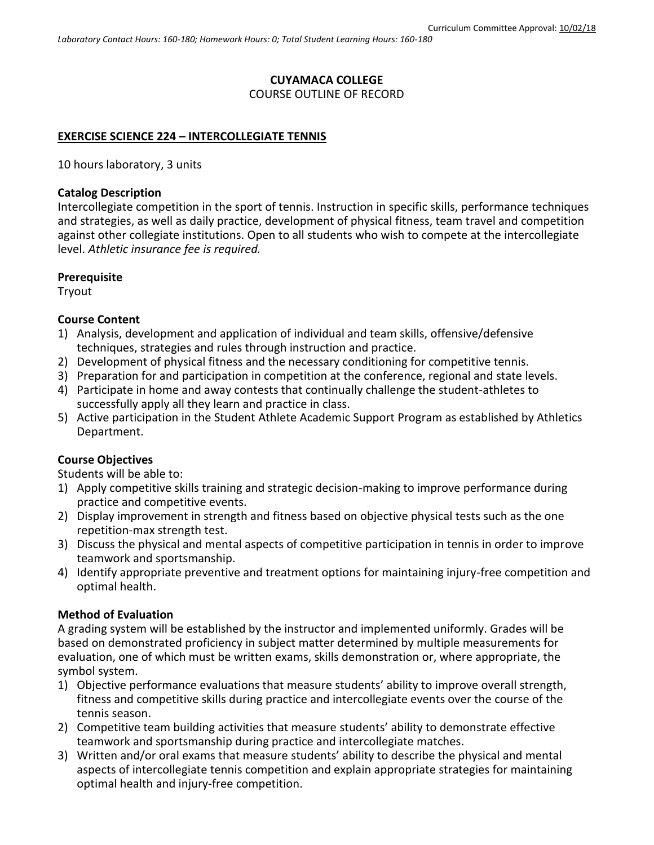# **CUYAMACA COLLEGE**

## COURSE OUTLINE OF RECORD

## **EXERCISE SCIENCE 224 – INTERCOLLEGIATE TENNIS**

10 hours laboratory, 3 units

#### **Catalog Description**

Intercollegiate competition in the sport of tennis. Instruction in specific skills, performance techniques and strategies, as well as daily practice, development of physical fitness, team travel and competition against other collegiate institutions. Open to all students who wish to compete at the intercollegiate level. *Athletic insurance fee is required.*

#### **Prerequisite**

Tryout

#### **Course Content**

- 1) Analysis, development and application of individual and team skills, offensive/defensive techniques, strategies and rules through instruction and practice.
- 2) Development of physical fitness and the necessary conditioning for competitive tennis.
- 3) Preparation for and participation in competition at the conference, regional and state levels.
- 4) Participate in home and away contests that continually challenge the student-athletes to successfully apply all they learn and practice in class.
- 5) Active participation in the Student Athlete Academic Support Program as established by Athletics Department.

#### **Course Objectives**

Students will be able to:

- 1) Apply competitive skills training and strategic decision-making to improve performance during practice and competitive events.
- 2) Display improvement in strength and fitness based on objective physical tests such as the one repetition-max strength test.
- 3) Discuss the physical and mental aspects of competitive participation in tennis in order to improve teamwork and sportsmanship.
- 4) Identify appropriate preventive and treatment options for maintaining injury-free competition and optimal health.

#### **Method of Evaluation**

A grading system will be established by the instructor and implemented uniformly. Grades will be based on demonstrated proficiency in subject matter determined by multiple measurements for evaluation, one of which must be written exams, skills demonstration or, where appropriate, the symbol system.

- 1) Objective performance evaluations that measure students' ability to improve overall strength, fitness and competitive skills during practice and intercollegiate events over the course of the tennis season.
- 2) Competitive team building activities that measure students' ability to demonstrate effective teamwork and sportsmanship during practice and intercollegiate matches.
- 3) Written and/or oral exams that measure students' ability to describe the physical and mental aspects of intercollegiate tennis competition and explain appropriate strategies for maintaining optimal health and injury-free competition.